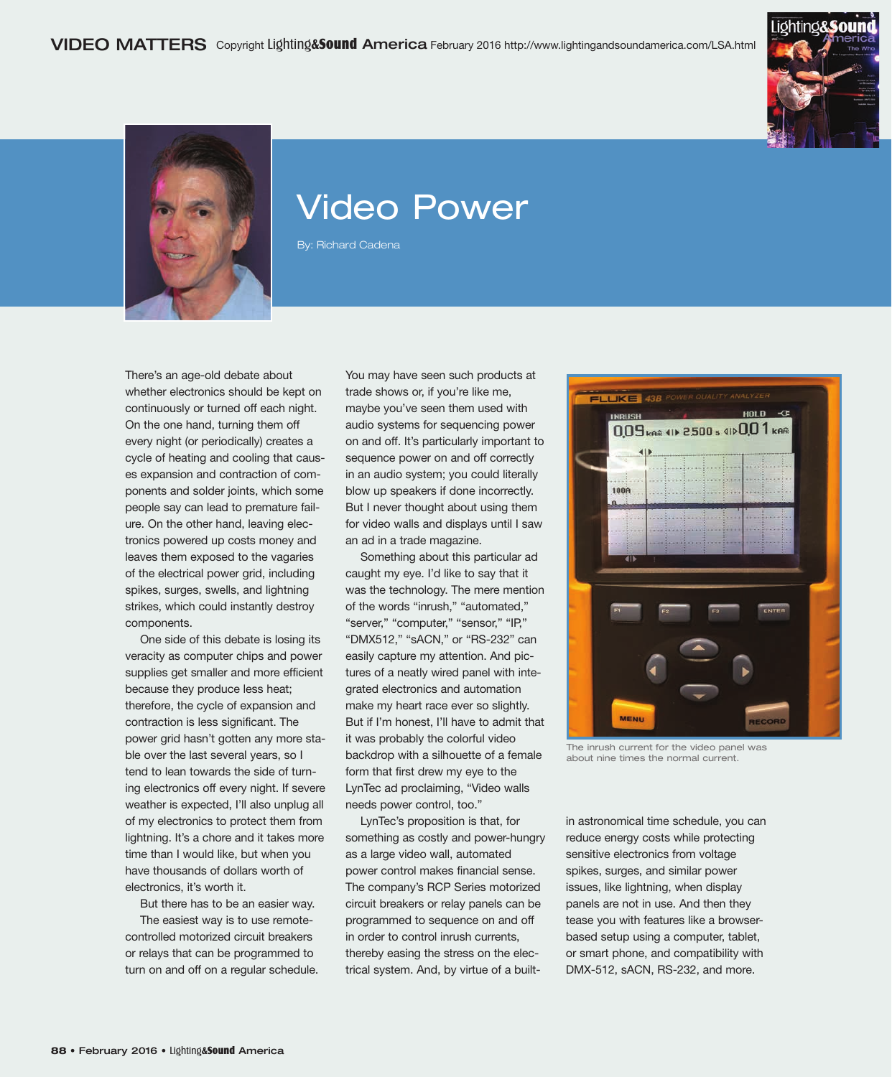



## Video Power

By: Richard Cadena

There's an age-old debate about whether electronics should be kept on continuously or turned off each night. On the one hand, turning them off every night (or periodically) creates a cycle of heating and cooling that causes expansion and contraction of components and solder joints, which some people say can lead to premature failure. On the other hand, leaving electronics powered up costs money and leaves them exposed to the vagaries of the electrical power grid, including spikes, surges, swells, and lightning strikes, which could instantly destroy components.

One side of this debate is losing its veracity as computer chips and power supplies get smaller and more efficient because they produce less heat; therefore, the cycle of expansion and contraction is less significant. The power grid hasn't gotten any more stable over the last several years, so I tend to lean towards the side of turning electronics off every night. If severe weather is expected, I'll also unplug all of my electronics to protect them from lightning. It's a chore and it takes more time than I would like, but when you have thousands of dollars worth of electronics, it's worth it.

But there has to be an easier way.

The easiest way is to use remotecontrolled motorized circuit breakers or relays that can be programmed to turn on and off on a regular schedule. You may have seen such products at trade shows or, if you're like me, maybe you've seen them used with audio systems for sequencing power on and off. It's particularly important to sequence power on and off correctly in an audio system; you could literally blow up speakers if done incorrectly. But I never thought about using them for video walls and displays until I saw an ad in a trade magazine.

Something about this particular ad caught my eye. I'd like to say that it was the technology. The mere mention of the words "inrush," "automated," "server," "computer," "sensor," "IP," "DMX512," "sACN," or "RS-232" can easily capture my attention. And pictures of a neatly wired panel with integrated electronics and automation make my heart race ever so slightly. But if I'm honest, I'll have to admit that it was probably the colorful video backdrop with a silhouette of a female form that first drew my eye to the LynTec ad proclaiming, "Video walls needs power control, too."

LynTec's proposition is that, for something as costly and power-hungry as a large video wall, automated power control makes financial sense. The company's RCP Series motorized circuit breakers or relay panels can be programmed to sequence on and off in order to control inrush currents, thereby easing the stress on the electrical system. And, by virtue of a built-



The inrush current for the video panel was about nine times the normal current.

in astronomical time schedule, you can reduce energy costs while protecting sensitive electronics from voltage spikes, surges, and similar power issues, like lightning, when display panels are not in use. And then they tease you with features like a browserbased setup using a computer, tablet, or smart phone, and compatibility with DMX-512, sACN, RS-232, and more.